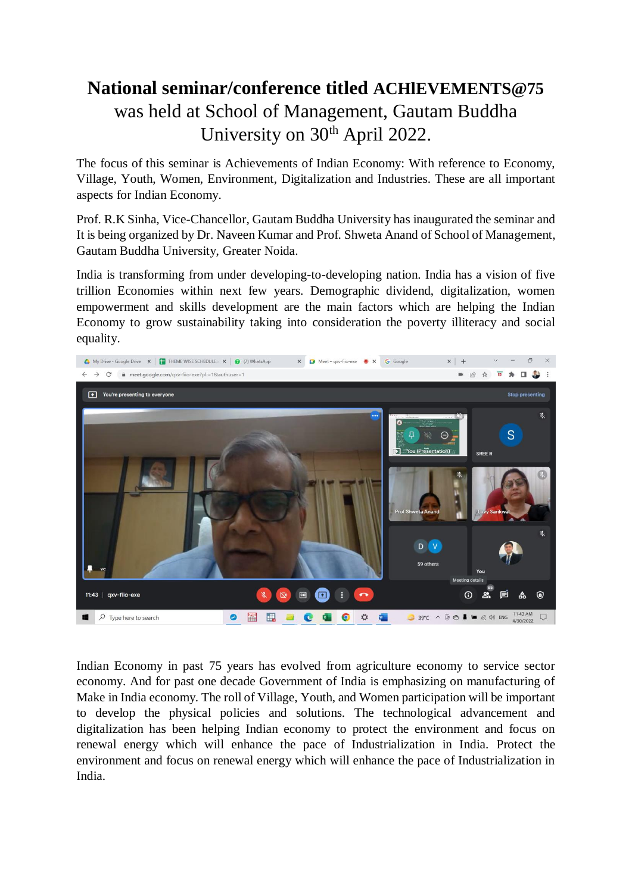## **National seminar/conference titled ACHlEVEMENTS@75** was held at School of Management, Gautam Buddha University on 30<sup>th</sup> April 2022.

The focus of this seminar is Achievements of Indian Economy: With reference to Economy, Village, Youth, Women, Environment, Digitalization and Industries. These are all important aspects for Indian Economy.

Prof. R.K Sinha, Vice-Chancellor, Gautam Buddha University has inaugurated the seminar and It is being organized by Dr. Naveen Kumar and Prof. Shweta Anand of School of Management, Gautam Buddha University, Greater Noida.

India is transforming from under developing-to-developing nation. India has a vision of five trillion Economies within next few years. Demographic dividend, digitalization, women empowerment and skills development are the main factors which are helping the Indian Economy to grow sustainability taking into consideration the poverty illiteracy and social equality.



Indian Economy in past 75 years has evolved from agriculture economy to service sector economy. And for past one decade Government of India is emphasizing on manufacturing of Make in India economy. The roll of Village, Youth, and Women participation will be important to develop the physical policies and solutions. The technological advancement and digitalization has been helping Indian economy to protect the environment and focus on renewal energy which will enhance the pace of Industrialization in India. Protect the environment and focus on renewal energy which will enhance the pace of Industrialization in India.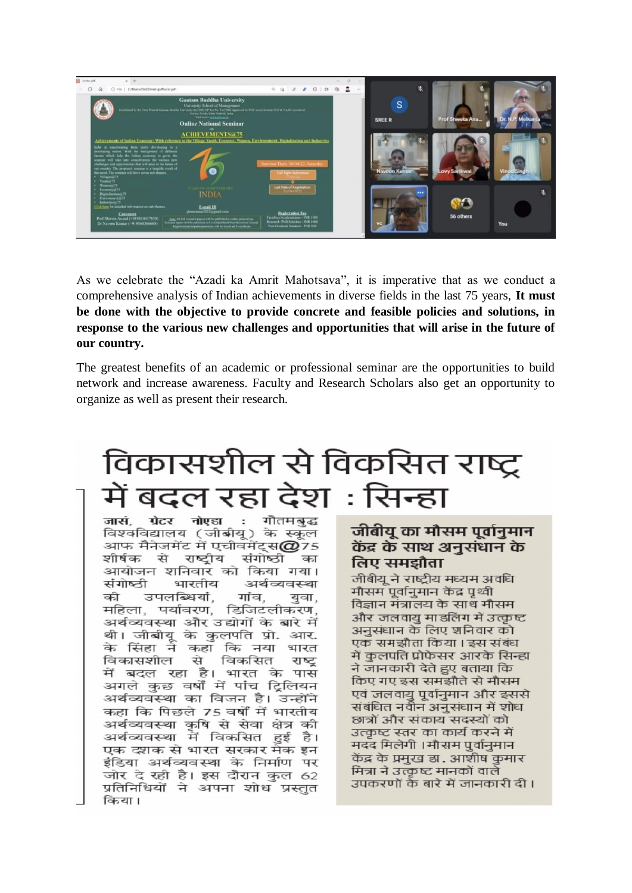

As we celebrate the "Azadi ka Amrit Mahotsava", it is imperative that as we conduct a comprehensive analysis of Indian achievements in diverse fields in the last 75 years, **It must be done with the objective to provide concrete and feasible policies and solutions, in response to the various new challenges and opportunities that will arise in the future of our country.**

The greatest benefits of an academic or professional seminar are the opportunities to build network and increase awareness. Faculty and Research Scholars also get an opportunity to organize as well as present their research.

## विकासशील से विकसित राष्ट्र बदल रहा देश : सिन्हा

नोएडा : गौतमबद्ध जासं ग्रेटर विश्वविद्यालय (जीबीय) के स्कल आफ मैनेजमेंट में एचीवमेंट्स $\alpha$ 75 राष्टीय शीर्षक से संगोष्ठी का आयोजन शनिवार को किया गया। संगोष्ठी भारतीय अर्थव्यवस्था की उपलब्धियां. गांव. यवा. महिला, पर्यावरण, डिजिटलीकरण. अर्थव्यवस्था और उद्योगों के बारे में थी। जीबीयू के कुलपति प्रो. आर. के सिंहा ने कहा कि नया भारत विकासशील से विकसित राष्ट में बदल रहा है। भारत के पास अगले कुछ वर्षों में पांच ट्रिलियन अर्थव्यवस्था का विजन है। उन्होंने कहा कि पिछले 75 वर्षों में भारतीय अर्थव्यवस्था कृषि से सेवा क्षेत्र की अर्थव्यवस्था में विकसित हई है। एक दशक से भारत सरकार मेक इन इंडिया अर्थव्यवस्था के निर्माण पर जोर दे रही है। इस दौरान कुल 62 प्रतिनिधियों ने अपना शोध प्रस्तुत किया।

## जीबीय का मौसम पर्वानमान केंद्र के साथ अनुसंधान के लिए समझौता

जीबीय ने राष्टीय मध्यम अवधि मौसम पुर्वानुमान केंद्र पृथ्वी विज्ञान मंत्रालय के साथ मौसम और जलवायु मा डलिंग में उत्कृष्ट अनुसंधान के लिए शनिवार को एक समझौता किया । इस संबंध में कुलपति प्रोफेसर आरके सिन्हा ने जानकारी देते हुए बताया कि किए गए इस समझौते से मौसम एवं जलवायु पूर्वानुमान और इससे संबंधित नवीन अनुसंधान में शोध छात्रों और संकाय सदस्यों को उत्कृष्ट स्तर का कार्य करने में मदद मिलेगी । मौसम पुर्वानुमान केंद्र के प्रमुख डा. आशीष कुमार मित्रा ने उत्कृष्ट मानकों वाले उपकरणों के बारे में जानकारी दी ।